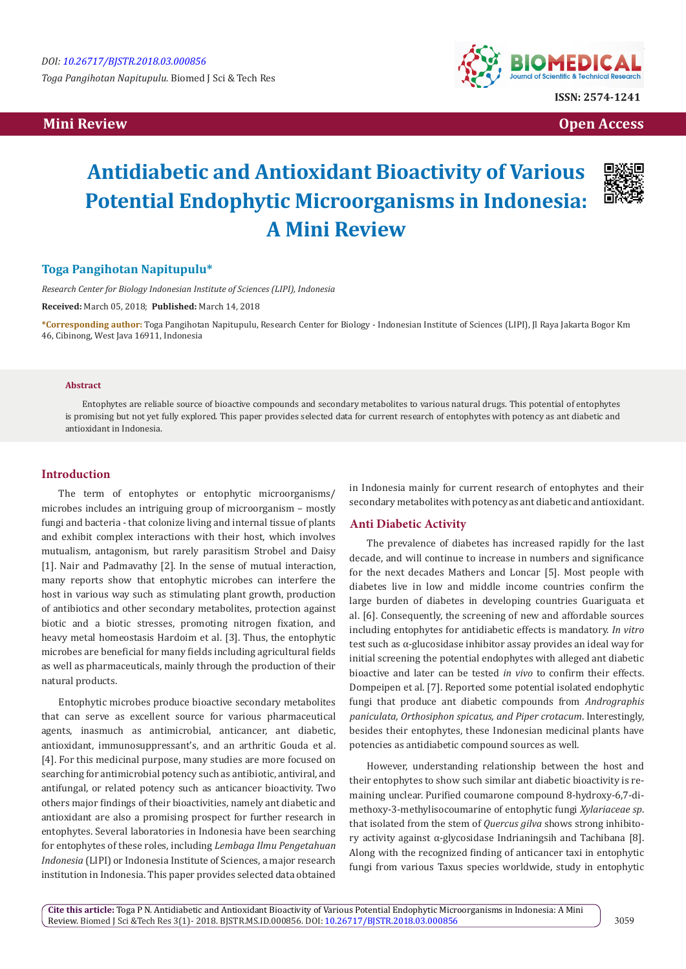

 **Mini Review Open Access** 

# **Antidiabetic and Antioxidant Bioactivity of Various Potential Endophytic Microorganisms in Indonesia: A Mini Review**



# **Toga Pangihotan Napitupulu\***

*Research Center for Biology Indonesian Institute of Sciences (LIPI), Indonesia*

**Received:** March 05, 2018; **Published:** March 14, 2018

**\*Corresponding author:** Toga Pangihotan Napitupulu, Research Center for Biology - Indonesian Institute of Sciences (LIPI), Jl Raya Jakarta Bogor Km 46, Cibinong, West Java 16911, Indonesia

#### **Abstract**

Entophytes are reliable source of bioactive compounds and secondary metabolites to various natural drugs. This potential of entophytes is promising but not yet fully explored. This paper provides selected data for current research of entophytes with potency as ant diabetic and antioxidant in Indonesia.

## **Introduction**

The term of entophytes or entophytic microorganisms/ microbes includes an intriguing group of microorganism – mostly fungi and bacteria - that colonize living and internal tissue of plants and exhibit complex interactions with their host, which involves mutualism, antagonism, but rarely parasitism Strobel and Daisy [1]. Nair and Padmavathy [2]. In the sense of mutual interaction, many reports show that entophytic microbes can interfere the host in various way such as stimulating plant growth, production of antibiotics and other secondary metabolites, protection against biotic and a biotic stresses, promoting nitrogen fixation, and heavy metal homeostasis Hardoim et al. [3]. Thus, the entophytic microbes are beneficial for many fields including agricultural fields as well as pharmaceuticals, mainly through the production of their natural products.

Entophytic microbes produce bioactive secondary metabolites that can serve as excellent source for various pharmaceutical agents, inasmuch as antimicrobial, anticancer, ant diabetic, antioxidant, immunosuppressant's, and an arthritic Gouda et al. [4]. For this medicinal purpose, many studies are more focused on searching for antimicrobial potency such as antibiotic, antiviral, and antifungal, or related potency such as anticancer bioactivity. Two others major findings of their bioactivities, namely ant diabetic and antioxidant are also a promising prospect for further research in entophytes. Several laboratories in Indonesia have been searching for entophytes of these roles, including *Lembaga Ilmu Pengetahuan Indonesia* (LIPI) or Indonesia Institute of Sciences, a major research institution in Indonesia. This paper provides selected data obtained

in Indonesia mainly for current research of entophytes and their secondary metabolites with potency as ant diabetic and antioxidant.

# **Anti Diabetic Activity**

The prevalence of diabetes has increased rapidly for the last decade, and will continue to increase in numbers and significance for the next decades Mathers and Loncar [5]. Most people with diabetes live in low and middle income countries confirm the large burden of diabetes in developing countries Guariguata et al. [6]. Consequently, the screening of new and affordable sources including entophytes for antidiabetic effects is mandatory. *In vitro*  test such as α-glucosidase inhibitor assay provides an ideal way for initial screening the potential endophytes with alleged ant diabetic bioactive and later can be tested *in vivo* to confirm their effects. Dompeipen et al. [7]. Reported some potential isolated endophytic fungi that produce ant diabetic compounds from *Andrographis paniculata, Orthosiphon spicatus, and Piper crotacum*. Interestingly, besides their entophytes, these Indonesian medicinal plants have potencies as antidiabetic compound sources as well.

However, understanding relationship between the host and their entophytes to show such similar ant diabetic bioactivity is remaining unclear. Purified coumarone compound 8-hydroxy-6,7-dimethoxy-3-methylisocoumarine of entophytic fungi *Xylariaceae sp*. that isolated from the stem of *Quercus gilva* shows strong inhibitory activity against α-glycosidase Indrianingsih and Tachibana [8]. Along with the recognized finding of anticancer taxi in entophytic fungi from various Taxus species worldwide, study in entophytic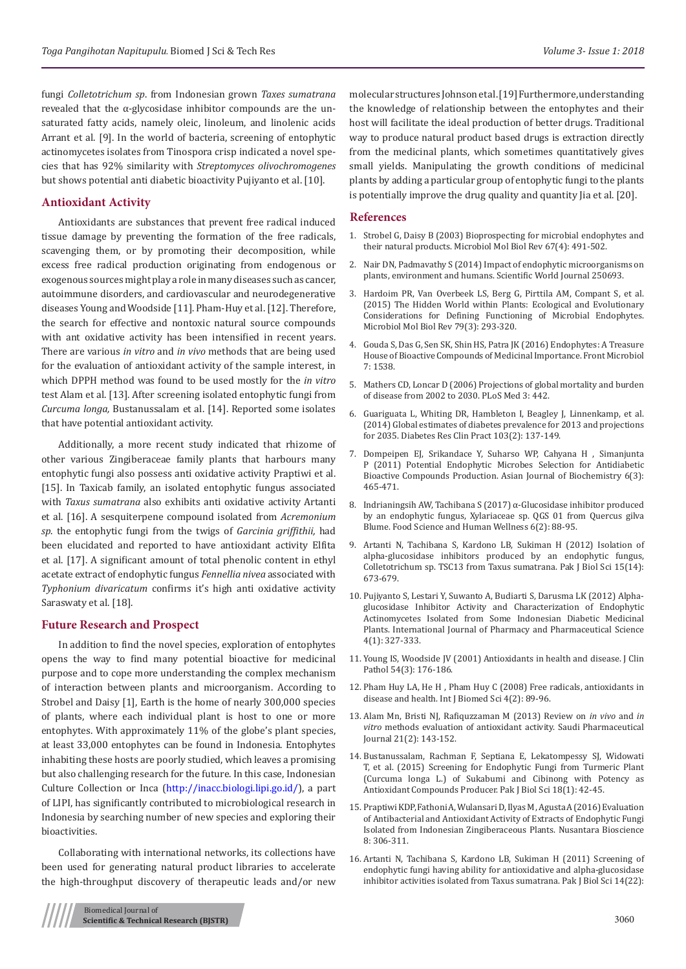fungi *Colletotrichum sp*. from Indonesian grown *Taxes sumatrana*  revealed that the α-glycosidase inhibitor compounds are the unsaturated fatty acids, namely oleic, linoleum, and linolenic acids Arrant et al. [9]. In the world of bacteria, screening of entophytic actinomycetes isolates from Tinospora crisp indicated a novel species that has 92% similarity with *Streptomyces olivochromogenes* but shows potential anti diabetic bioactivity Pujiyanto et al. [10].

### **Antioxidant Activity**

Antioxidants are substances that prevent free radical induced tissue damage by preventing the formation of the free radicals, scavenging them, or by promoting their decomposition, while excess free radical production originating from endogenous or exogenous sources might play a role in many diseases such as cancer, autoimmune disorders, and cardiovascular and neurodegenerative diseases Young and Woodside [11]. Pham-Huy et al. [12]. Therefore, the search for effective and nontoxic natural source compounds with ant oxidative activity has been intensified in recent years. There are various *in vitro* and *in vivo* methods that are being used for the evaluation of antioxidant activity of the sample interest, in which DPPH method was found to be used mostly for the *in vitro*  test Alam et al. [13]. After screening isolated entophytic fungi from *Curcuma longa,* Bustanussalam et al. [14]. Reported some isolates that have potential antioxidant activity.

Additionally, a more recent study indicated that rhizome of other various Zingiberaceae family plants that harbours many entophytic fungi also possess anti oxidative activity Praptiwi et al. [15]. In Taxicab family, an isolated entophytic fungus associated with *Taxus sumatrana* also exhibits anti oxidative activity Artanti et al. [16]. A sesquiterpene compound isolated from *Acremonium sp*. the entophytic fungi from the twigs of *Garcinia griffithii,* had been elucidated and reported to have antioxidant activity Elfita et al. [17]. A significant amount of total phenolic content in ethyl acetate extract of endophytic fungus *Fennellia nivea* associated with *Typhonium divaricatum* confirms it's high anti oxidative activity Saraswaty et al. [18].

### **Future Research and Prospect**

In addition to find the novel species, exploration of entophytes opens the way to find many potential bioactive for medicinal purpose and to cope more understanding the complex mechanism of interaction between plants and microorganism. According to Strobel and Daisy [1], Earth is the home of nearly 300,000 species of plants, where each individual plant is host to one or more entophytes. With approximately 11% of the globe's plant species, at least 33,000 entophytes can be found in Indonesia. Entophytes inhabiting these hosts are poorly studied, which leaves a promising but also challenging research for the future. In this case, Indonesian Culture Collection or Inca (<http://inacc.biologi.lipi.go.id/>), a part of LIPI, has significantly contributed to microbiological research in Indonesia by searching number of new species and exploring their bioactivities.

Collaborating with international networks, its collections have been used for generating natural product libraries to accelerate the high-throughput discovery of therapeutic leads and/or new

molecular structures Johnson et al. [19] Furthermore, understanding the knowledge of relationship between the entophytes and their host will facilitate the ideal production of better drugs. Traditional way to produce natural product based drugs is extraction directly from the medicinal plants, which sometimes quantitatively gives small yields. Manipulating the growth conditions of medicinal plants by adding a particular group of entophytic fungi to the plants is potentially improve the drug quality and quantity Jia et al. [20].

#### **References**

- 1. [Strobel G, Daisy B \(2003\) Bioprospecting for microbial endophytes and](https://www.ncbi.nlm.nih.gov/pubmed/14665674/) [their natural products. Microbiol Mol Biol Rev](https://www.ncbi.nlm.nih.gov/pubmed/14665674/) 67(4): 491-502.
- 2. [Nair DN, Padmavathy S \(2014\) Impact of endophytic microorganisms on](https://www.hindawi.com/journals/tswj/2014/250693/) [plants, environment and humans. Scientific World Journal](https://www.hindawi.com/journals/tswj/2014/250693/) 250693.
- 3. [Hardoim PR, Van Overbeek LS, Berg G, Pirttila AM, Compant S, et al.](https://www.ncbi.nlm.nih.gov/pubmed/26136581) [\(2015\) The Hidden World within Plants: Ecological and Evolutionary](https://www.ncbi.nlm.nih.gov/pubmed/26136581) [Considerations for Defining Functioning of Microbial Endophytes.](https://www.ncbi.nlm.nih.gov/pubmed/26136581) [Microbiol Mol Biol Rev 79\(3\): 293-320.](https://www.ncbi.nlm.nih.gov/pubmed/26136581)
- 4. [Gouda S, Das G, Sen SK, Shin HS, Patra JK \(2016\) Endophytes: A Treasure](https://www.ncbi.nlm.nih.gov/pubmed/27746767/%5d) [House of Bioactive Compounds of Medicinal Importance. Front Microbiol](https://www.ncbi.nlm.nih.gov/pubmed/27746767/%5d) [7: 1538.](https://www.ncbi.nlm.nih.gov/pubmed/27746767/%5d)
- 5. [Mathers CD, Loncar D \(2006\) Projections of global mortality and burden](http://journals.plos.org/plosmedicine/article?id=10.1371/journal.pmed.0030442) [of disease from 2002 to 2030. PLoS Med 3:](http://journals.plos.org/plosmedicine/article?id=10.1371/journal.pmed.0030442) 442.
- 6. [Guariguata L, Whiting DR, Hambleton I, Beagley J, Linnenkamp, et al.](https://www.ncbi.nlm.nih.gov/pubmed/24630390) [\(2014\) Global estimates of diabetes prevalence for 2013 and projections](https://www.ncbi.nlm.nih.gov/pubmed/24630390) [for 2035. Diabetes Res Clin Pract 103\(2\): 137-149.](https://www.ncbi.nlm.nih.gov/pubmed/24630390)
- 7. [Dompeipen EJ, Srikandace Y, Suharso WP, Cahyana H , Simanjunta](https://scialert.net/abstract/?doi=ajb.2011.465.471) [P \(2011\) Potential Endophytic Microbes Selection for Antidiabetic](https://scialert.net/abstract/?doi=ajb.2011.465.471) [Bioactive Compounds Production. Asian Journal of Biochemistry 6\(3\):](https://scialert.net/abstract/?doi=ajb.2011.465.471) [465-471.](https://scialert.net/abstract/?doi=ajb.2011.465.471)
- 8. [Indrianingsih AW, Tachibana S \(2017\) α-Glucosidase inhibitor produced](https://doaj.org/article/c68a543b4bbb4763882d4b0f3de844e3) [by an endophytic fungus, Xylariaceae sp. QGS 01 from Quercus gilva](https://doaj.org/article/c68a543b4bbb4763882d4b0f3de844e3) [Blume. Food Science and Human Wellness 6\(2\): 88-95.](https://doaj.org/article/c68a543b4bbb4763882d4b0f3de844e3)
- 9. [Artanti N, Tachibana S, Kardono LB, Sukiman H \(2012\) Isolation of](https://www.ncbi.nlm.nih.gov/pubmed/24171248) [alpha-glucosidase inhibitors produced by an endophytic fungus,](https://www.ncbi.nlm.nih.gov/pubmed/24171248) [Colletotrichum sp. TSC13 from Taxus sumatrana. Pak J Biol Sci 15\(14\):](https://www.ncbi.nlm.nih.gov/pubmed/24171248) [673-679.](https://www.ncbi.nlm.nih.gov/pubmed/24171248)
- 10. [Pujiyanto S, Lestari Y, Suwanto A, Budiarti S, Darusma LK \(2012\) Alpha](https://www.researchgate.net/publication/262728745_Alpha-glucosidase_inhibitor_activity_and_characterization_of_endophytic_actinomycetes_isolated_from_some_Indonesian_diabetic_medicinal_plants)[glucosidase Inhibitor Activity and Characterization of Endophytic](https://www.researchgate.net/publication/262728745_Alpha-glucosidase_inhibitor_activity_and_characterization_of_endophytic_actinomycetes_isolated_from_some_Indonesian_diabetic_medicinal_plants) [Actinomycetes Isolated from Some Indonesian Diabetic Medicinal](https://www.researchgate.net/publication/262728745_Alpha-glucosidase_inhibitor_activity_and_characterization_of_endophytic_actinomycetes_isolated_from_some_Indonesian_diabetic_medicinal_plants) [Plants. International Journal of Pharmacy and Pharmaceutical Science](https://www.researchgate.net/publication/262728745_Alpha-glucosidase_inhibitor_activity_and_characterization_of_endophytic_actinomycetes_isolated_from_some_Indonesian_diabetic_medicinal_plants) [4\(1\): 327-333.](https://www.researchgate.net/publication/262728745_Alpha-glucosidase_inhibitor_activity_and_characterization_of_endophytic_actinomycetes_isolated_from_some_Indonesian_diabetic_medicinal_plants)
- 11. [Young IS, Woodside JV \(2001\) Antioxidants in health and disease. J Clin](https://www.ncbi.nlm.nih.gov/pubmed/11253127) [Pathol 54\(3\): 176-186.](https://www.ncbi.nlm.nih.gov/pubmed/11253127)
- 12. [Pham Huy LA, He H , Pham Huy C \(2008\) Free radicals, antioxidants in](https://www.ncbi.nlm.nih.gov/pubmed/23675073/) [disease and health. Int J Biomed Sci](https://www.ncbi.nlm.nih.gov/pubmed/23675073/) 4(2): 89-96.
- 13. [Alam Mn, Bristi NJ, Rafiquzzaman M \(2013\) Review on](https://www.ncbi.nlm.nih.gov/pubmed/24936134) *in vivo* and *in vitro* [methods evaluation of antioxidant activity. Saudi Pharmaceutical](https://www.ncbi.nlm.nih.gov/pubmed/24936134) [Journal 21\(2\): 143-152.](https://www.ncbi.nlm.nih.gov/pubmed/24936134)
- 14. [Bustanussalam, Rachman F, Septiana E, Lekatompessy SJ, Widowati](https://www.ncbi.nlm.nih.gov/pubmed/26353416) [T, et al. \(2015\) Screening for Endophytic Fungi from Turmeric Plant](https://www.ncbi.nlm.nih.gov/pubmed/26353416) [\(Curcuma longa L.\) of Sukabumi and Cibinong with Potency as](https://www.ncbi.nlm.nih.gov/pubmed/26353416) [Antioxidant Compounds Producer. Pak J Biol Sci](https://www.ncbi.nlm.nih.gov/pubmed/26353416) 18(1): 42-45.
- 15. [Praptiwi KDP, Fathoni A, Wulansari D, Ilyas M , Agusta A \(2016\) Evaluation](https://www.researchgate.net/publication/310611998_Evaluation_of_antibacterial_and_antioxidant_activity_of_extracts_of_endophytic_fungi_isolated_from_Indonesian_Zingiberaceous_plants) [of Antibacterial and Antioxidant Activity of Extracts of Endophytic Fungi](https://www.researchgate.net/publication/310611998_Evaluation_of_antibacterial_and_antioxidant_activity_of_extracts_of_endophytic_fungi_isolated_from_Indonesian_Zingiberaceous_plants) [Isolated from Indonesian Zingiberaceous Plants. Nusantara Bioscience](https://www.researchgate.net/publication/310611998_Evaluation_of_antibacterial_and_antioxidant_activity_of_extracts_of_endophytic_fungi_isolated_from_Indonesian_Zingiberaceous_plants) [8: 306-311.](https://www.researchgate.net/publication/310611998_Evaluation_of_antibacterial_and_antioxidant_activity_of_extracts_of_endophytic_fungi_isolated_from_Indonesian_Zingiberaceous_plants)
- 16. [Artanti N, Tachibana S, Kardono LB, Sukiman H \(2011\) Screening of](https://www.ncbi.nlm.nih.gov/pubmed/22514879) [endophytic fungi having ability for antioxidative and alpha-glucosidase](https://www.ncbi.nlm.nih.gov/pubmed/22514879) [inhibitor activities isolated from Taxus sumatrana. Pak J Biol Sci](https://www.ncbi.nlm.nih.gov/pubmed/22514879) 14(22):